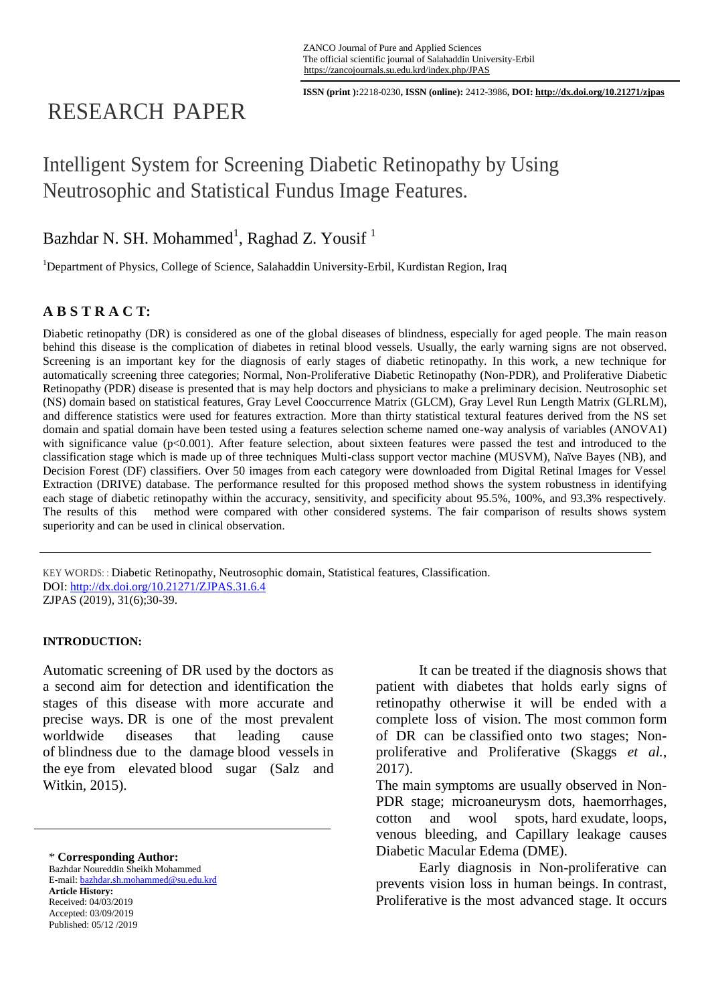**ISSN (print ):**2218-0230**, ISSN (online):** 2412-3986**, DOI: http://dx.doi.org/10.21271/zjpas**

# RESEARCH PAPER

# Intelligent System for Screening Diabetic Retinopathy by Using Neutrosophic and Statistical Fundus Image Features.

# Bazhdar N. SH. Mohammed<sup>1</sup>, Raghad Z. Yousif<sup>1</sup>

<sup>1</sup>Department of Physics, College of Science, Salahaddin University-Erbil, Kurdistan Region, Iraq

# **A B S T R A C T:**

Diabetic retinopathy (DR) is considered as one of the global diseases of blindness, especially for aged people. The main reason behind this disease is the complication of diabetes in retinal blood vessels. Usually, the early warning signs are not observed. Screening is an important key for the diagnosis of early stages of diabetic retinopathy. In this work, a new technique for automatically screening three categories; Normal, Non-Proliferative Diabetic Retinopathy (Non-PDR), and Proliferative Diabetic Retinopathy (PDR) disease is presented that is may help doctors and physicians to make a preliminary decision. Neutrosophic set (NS) domain based on statistical features, Gray Level Cooccurrence Matrix (GLCM), Gray Level Run Length Matrix (GLRLM), and difference statistics were used for features extraction. More than thirty statistical textural features derived from the NS set domain and spatial domain have been tested using a features selection scheme named one-way analysis of variables (ANOVA1) with significance value  $(p<0.001)$ . After feature selection, about sixteen features were passed the test and introduced to the classification stage which is made up of three techniques Multi-class support vector machine (MUSVM), Naïve Bayes (NB), and Decision Forest (DF) classifiers. Over 50 images from each category were downloaded from Digital Retinal Images for Vessel Extraction (DRIVE) database. The performance resulted for this proposed method shows the system robustness in identifying each stage of diabetic retinopathy within the accuracy, sensitivity, and specificity about 95.5%, 100%, and 93.3% respectively. The results of this method were compared with other considered systems. The fair comparison of results shows system superiority and can be used in clinical observation.

KEY WORDS: : Diabetic Retinopathy, Neutrosophic domain, Statistical features, Classification. DOI:<http://dx.doi.org/10.21271/ZJPAS.31.6.4> ZJPAS (2019), 31(6);30-39.

#### **INTRODUCTION:**

Automatic screening of DR used by the doctors as a second aim for detection and identification the stages of this disease with more accurate and precise ways. DR is one of the most prevalent worldwide diseases that leading cause of blindness due to the damage blood vessels in the eye from elevated blood sugar [\(Salz and](#page-9-0)  [Witkin](#page-9-0)*,* 2015).

\* **Corresponding Author:**

Bazhdar Noureddin Sheikh Mohammed E-mail: bazhdar.sh.mohammed@su.edu.krd **Article History:** Received: 04/03/2019 Accepted: 03/09/2019 Published: 05/12 /2019

It can be treated if the diagnosis shows that patient with diabetes that holds early signs of retinopathy otherwise it will be ended with a complete loss of vision. The most common form of DR can be classified onto two stages; Nonproliferative and Proliferative [\(Skaggs](#page-9-1) *et al.*, [2017\)](#page-9-1).

The main symptoms are usually observed in Non-PDR stage; microaneurysm dots, haemorrhages, cotton and wool spots, hard exudate, loops, venous bleeding, and Capillary leakage causes Diabetic Macular Edema (DME).

Early diagnosis in Non-proliferative can prevents vision loss in human beings. In contrast, Proliferative is the most advanced stage. It occurs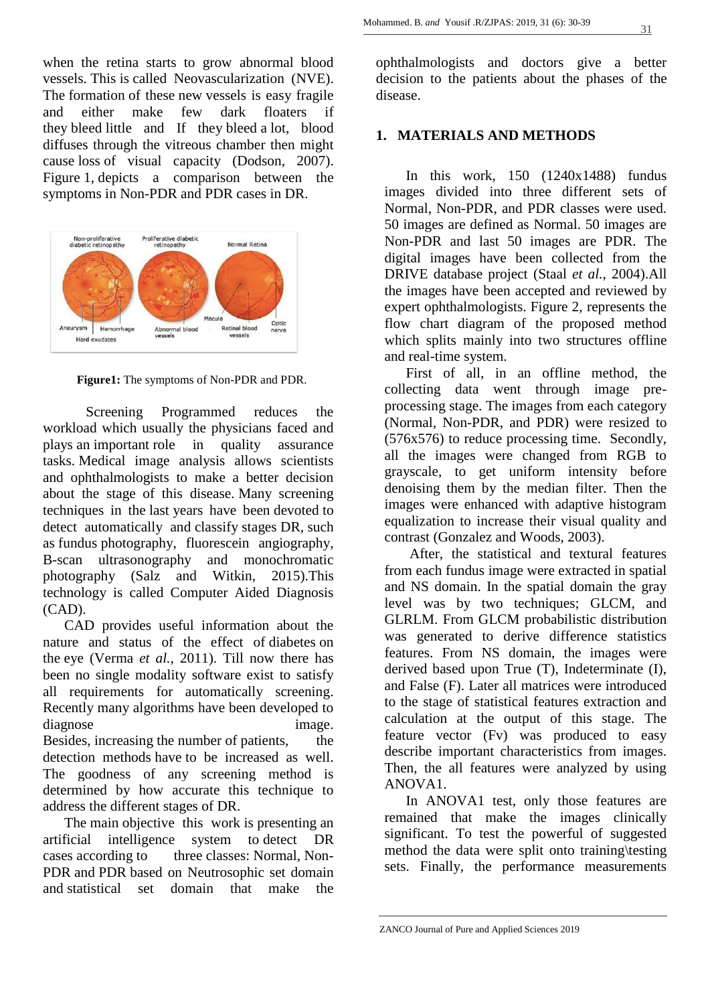when the retina starts to grow abnormal blood vessels. This is called Neovascularization (NVE). The formation of these new vessels is easy fragile and either make few dark floaters if they bleed little and If they bleed a lot, blood diffuses through the vitreous chamber then might cause loss of visual capacity [\(Dodson, 2007\)](#page-9-2). Figure 1, depicts a comparison between the symptoms in Non-PDR and PDR cases in DR.



**Figure1:** The symptoms of Non-PDR and PDR.

Screening Programmed reduces the workload which usually the physicians faced and plays an important role in quality assurance tasks. Medical image analysis allows scientists and ophthalmologists to make a better decision about the stage of this disease. Many screening techniques in the last years have been devoted to detect automatically and classify stages DR, such as fundus photography, fluorescein angiography, B-scan ultrasonography and monochromatic photography [\(Salz and Witkin, 2015\)](#page-9-0).This technology is called Computer Aided Diagnosis (CAD).

CAD provides useful information about the nature and status of the effect of diabetes on the eye [\(Verma](#page-9-3) *et al.*, 2011). Till now there has been no single modality software exist to satisfy all requirements for automatically screening. Recently many algorithms have been developed to diagnose image. Besides, increasing the number of patients, the detection methods have to be increased as well. The goodness of any screening method is determined by how accurate this technique to address the different stages of DR.

The main objective this work is presenting an artificial intelligence system to detect DR cases according to three classes: Normal, Non-PDR and PDR based on Neutrosophic set domain and statistical set domain that make the

ophthalmologists and doctors give a better decision to the patients about the phases of the disease.

# **1. MATERIALS AND METHODS**

In this work, 150 (1240x1488) fundus images divided into three different sets of Normal, Non-PDR, and PDR classes were used. 50 images are defined as Normal. 50 images are Non-PDR and last 50 images are PDR. The digital images have been collected from the DRIVE database project (Staal *et al.*[, 2004\)](#page-9-4).All the images have been accepted and reviewed by expert ophthalmologists. Figure 2, represents the flow chart diagram of the proposed method which splits mainly into two structures offline and real-time system.

First of all, in an offline method, the collecting data went through image preprocessing stage. The images from each category (Normal, Non-PDR, and PDR) were resized to (576x576) to reduce processing time. Secondly, all the images were changed from RGB to grayscale, to get uniform intensity before denoising them by the median filter. Then the images were enhanced with adaptive histogram equalization to increase their visual quality and contrast [\(Gonzalez and Woods, 2003\)](#page-9-5).

After, the statistical and textural features from each fundus image were extracted in spatial and NS domain. In the spatial domain the gray level was by two techniques; GLCM, and GLRLM. From GLCM probabilistic distribution was generated to derive difference statistics features. From NS domain, the images were derived based upon True (T), Indeterminate (I), and False (F). Later all matrices were introduced to the stage of statistical features extraction and calculation at the output of this stage. The feature vector (Fv) was produced to easy describe important characteristics from images. Then, the all features were analyzed by using ANOVA1.

In ANOVA1 test, only those features are remained that make the images clinically significant. To test the powerful of suggested method the data were split onto training\testing sets. Finally, the performance measurements

ZANCO Journal of Pure and Applied Sciences 2019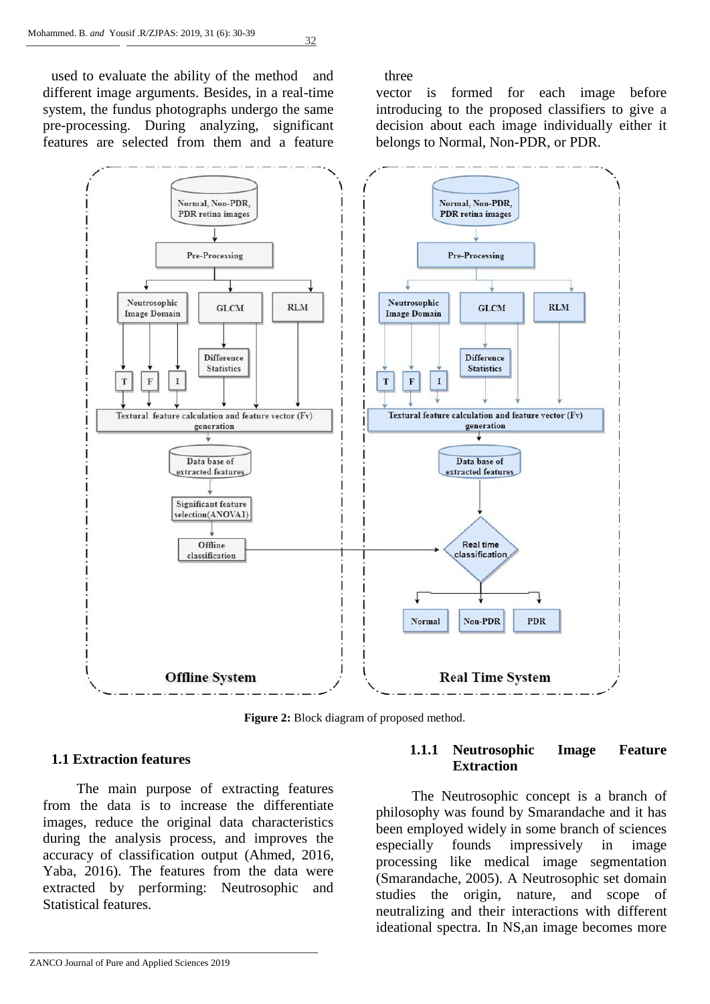used to evaluate the ability of the method and three different image arguments. Besides, in a real-time system, the fundus photographs undergo the same pre-processing. During analyzing, significant features are selected from them and a feature

vector is formed for each image before introducing to the proposed classifiers to give a decision about each image individually either it belongs to Normal, Non-PDR, or PDR.



**Figure 2:** Block diagram of proposed method.

#### **1.1 Extraction features**

The main purpose of extracting features from the data is to increase the differentiate images, reduce the original data characteristics during the analysis process, and improves the accuracy of classification output [\(Ahmed, 2016,](#page-8-0) [Yaba, 2016\)](#page-9-6). The features from the data were extracted by performing: Neutrosophic and Statistical features.

### **1.1.1 Neutrosophic Image Feature Extraction**

 The Neutrosophic concept is a branch of philosophy was found by Smarandache and it has been employed widely in some branch of sciences especially founds impressively in image processing like medical image segmentation [\(Smarandache, 2005\)](#page-9-7). A Neutrosophic set domain studies the origin, nature, and scope of neutralizing and their interactions with different ideational spectra. In NS,an image becomes more

ZANCO Journal of Pure and Applied Sciences 2019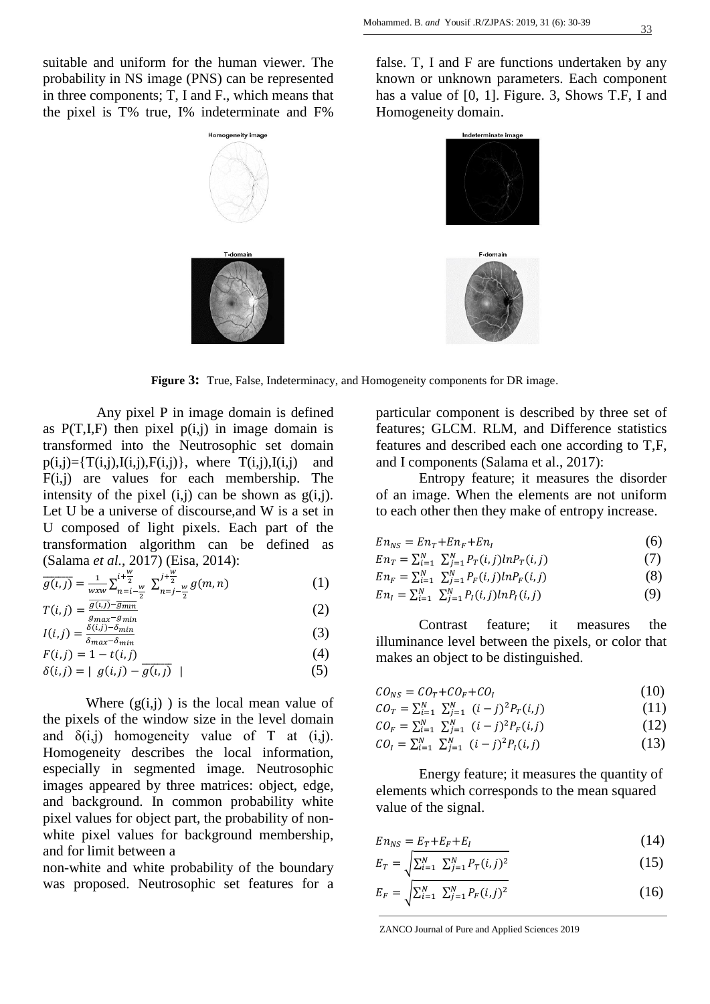suitable and uniform for the human viewer. The probability in NS image (PNS) can be represented in three components; T, I and F., which means that the pixel is T% true, I% indeterminate and F%

false. T, I and F are functions undertaken by any known or unknown parameters. Each component has a value of [0, 1]. Figure. 3, Shows T.F, I and Homogeneity domain.



**Figure 3:** True, False, Indeterminacy, and Homogeneity components for DR image.

 Any pixel P in image domain is defined as  $P(T,I,F)$  then pixel  $p(i,j)$  in image domain is transformed into the Neutrosophic set domain  $p(i,j) = {T(i,j), I(i,j), F(i,j)}$ , where  $T(i,j), I(i,j)$  and  $F(i,j)$  are values for each membership. The intensity of the pixel  $(i,j)$  can be shown as  $g(i,j)$ . Let U be a universe of discourse,and W is a set in U composed of light pixels. Each part of the transformation algorithm can be defined as [\(Salama](#page-9-8) *et al.*, 2017) [\(Eisa, 2014\)](#page-9-9):

$$
\overline{g(t,j)} = \frac{1}{w x w} \sum_{n=i}^{i+\frac{w}{2}} \sum_{n=j-\frac{w}{2}}^{j+\frac{w}{2}} g(m,n)
$$
(1)

$$
T(i,j) = \frac{\overline{g(i,j)} - \overline{g_{min}}}{g_{max} - g_{min}}\tag{2}
$$

$$
I(i,j) = \frac{\delta(i,j) - \delta_{min}}{\delta_{max} - \delta_{min}}\tag{3}
$$

$$
F(i,j) = 1 - t(i,j) \tag{4}
$$

$$
\delta(i,j) = |g(i,j) - \overline{g(i,j)}|
$$
\n(5)

Where  $(g(i, j))$  is the local mean value of the pixels of the window size in the level domain and  $\delta(i,j)$  homogeneity value of T at  $(i,j)$ . Homogeneity describes the local information, especially in segmented image. Neutrosophic images appeared by three matrices: object, edge, and background. In common probability white pixel values for object part, the probability of nonwhite pixel values for background membership, and for limit between a

non-white and white probability of the boundary was proposed. Neutrosophic set features for a particular component is described by three set of features; GLCM. RLM, and Difference statistics features and described each one according to T,F, and I components [\(Salama et al., 2017\)](#page-9-8):

Entropy feature; it measures the disorder of an image. When the elements are not uniform to each other then they make of entropy increase.

$$
En_{NS} = En_T + En_F + En_I \tag{6}
$$

$$
En_T = \sum_{i=1}^{N} \sum_{j=1}^{N} P_T(i,j) ln P_T(i,j)
$$
(7)

$$
En_F = \sum_{i=1}^{N} \sum_{j=1}^{N} P_F(i,j) ln P_F(i,j)
$$
 (8)

$$
En_{I} = \sum_{i=1}^{N} \sum_{j=1}^{N} P_{I}(i,j) ln P_{I}(i,j)
$$
\n(9)

Contrast feature; it measures the illuminance level between the pixels, or color that makes an object to be distinguished.

| $CO_{NS} = CO_T + CO_F + CO_I$                          | (10) |
|---------------------------------------------------------|------|
| $CO_T = \sum_{i=1}^{N} \sum_{j=1}^{N} (i-j)^2 P_T(i,j)$ | (11) |

$$
CO_F = \sum_{i=1}^{N} \sum_{j=1}^{N} (i-j)^2 P_F(i,j)
$$
 (12)

$$
CO_{I} = \sum_{i=1}^{N} \sum_{j=1}^{N} (i-j)^{2} P_{I}(i,j)
$$
 (13)

Energy feature; it measures the quantity of elements which corresponds to the mean squared value of the signal.

$$
En_{NS} = E_T + E_F + E_I \tag{14}
$$

$$
E_T = \sqrt{\sum_{i=1}^{N} \sum_{j=1}^{N} P_T(i,j)^2}
$$
 (15)

$$
E_F = \sqrt{\sum_{i=1}^{N} \sum_{j=1}^{N} P_F(i,j)^2}
$$
 (16)

ZANCO Journal of Pure and Applied Sciences 2019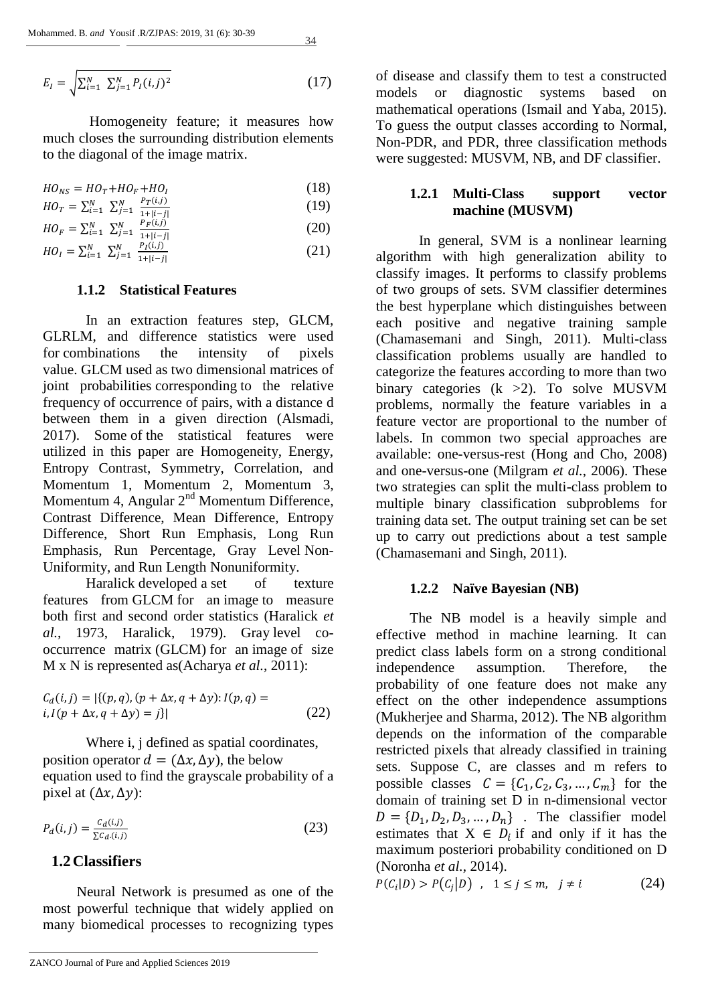$$
E_I = \sqrt{\sum_{i=1}^{N} \sum_{j=1}^{N} P_I(i,j)^2}
$$
 (17)

Homogeneity feature; it measures how much closes the surrounding distribution elements to the diagonal of the image matrix.

$$
HO_{NS} = HO_T + HO_F + HO_I \tag{18}
$$

$$
HO_T = \sum_{i=1}^{N} \sum_{j=1}^{N} \frac{P_T(i,j)}{1+|i-j|}
$$
(19)

$$
HO_F = \sum_{i=1}^{N} \sum_{j=1}^{N} \frac{P_F(i,j)}{1 + |i - j|}
$$
 (20)

$$
HO_{I} = \sum_{i=1}^{N} \sum_{j=1}^{N} \frac{P_{I}(i,j)}{1 + |i - j|}
$$
 (21)

## **1.1.2 Statistical Features**

In an extraction features step, GLCM, GLRLM, and difference statistics were used for combinations the intensity of pixels value. GLCM used as two dimensional matrices of joint probabilities corresponding to the relative frequency of occurrence of pairs, with a distance d between them in a given direction [\(Alsmadi,](#page-8-1)  [2017\)](#page-8-1). Some of the statistical features were utilized in this paper are Homogeneity, Energy, Entropy Contrast, Symmetry, Correlation, and Momentum 1, Momentum 2, Momentum 3, Momentum 4, Angular  $2<sup>nd</sup>$  Momentum Difference, Contrast Difference, Mean Difference, Entropy Difference, Short Run Emphasis, Long Run Emphasis, Run Percentage, Gray Level Non-Uniformity, and Run Length Nonuniformity.

Haralick developed a set of texture features from GLCM for an image to measure both first and second order statistics [\(Haralick](#page-9-10) *et al.*[, 1973,](#page-9-10) [Haralick, 1979\)](#page-9-11). Gray level cooccurrence matrix (GLCM) for an image of size M x N is represented as(Acharya *et al.*, 2011):

$$
C_d(i,j) = |\{(p,q), (p + \Delta x, q + \Delta y): I(p,q) = i, I(p + \Delta x, q + \Delta y) = j\}|
$$
\n(22)

Where i, j defined as spatial coordinates, position operator  $d = (\Delta x, \Delta y)$ , the below equation used to find the grayscale probability of a pixel at  $(\Delta x, \Delta y)$ :

$$
P_d(i,j) = \frac{c_d(i,j)}{\sum c_d(i,j)}
$$
 (23)

# **1.2Classifiers**

Neural Network is presumed as one of the most powerful technique that widely applied on many biomedical processes to recognizing types

of disease and classify them to test a constructed models or diagnostic systems based on mathematical operations [\(Ismail and Yaba, 2015\)](#page-9-12). To guess the output classes according to Normal, Non-PDR, and PDR, three classification methods were suggested: MUSVM, NB, and DF classifier.

## **1.2.1 Multi-Class support vector machine (MUSVM)**

In general, SVM is a nonlinear learning algorithm with high generalization ability to classify images. It performs to classify problems of two groups of sets. SVM classifier determines the best hyperplane which distinguishes between each positive and negative training sample [\(Chamasemani and Singh, 2011\)](#page-9-13). Multi-class classification problems usually are handled to categorize the features according to more than two binary categories (k >2). To solve MUSVM problems, normally the feature variables in a feature vector are proportional to the number of labels. In common two special approaches are available: one-versus-rest [\(Hong and Cho, 2008\)](#page-9-14) and one-versus-one [\(Milgram](#page-9-15) *et al.*, 2006). These two strategies can split the multi-class problem to multiple binary classification subproblems for training data set. The output training set can be set up to carry out predictions about a test sample [\(Chamasemani and Singh, 2011\)](#page-9-13).

## **1.2.2 Naïve Bayesian (NB)**

The NB model is a heavily simple and effective method in machine learning. It can predict class labels form on a strong conditional independence assumption. Therefore, the probability of one feature does not make any effect on the other independence assumptions [\(Mukherjee and Sharma, 2012\)](#page-9-16). The NB algorithm depends on the information of the comparable restricted pixels that already classified in training sets. Suppose C, are classes and m refers to possible classes  $C = \{C_1, C_2, C_3, ..., C_m\}$  for the domain of training set D in n-dimensional vector  $D = \{D_1, D_2, D_3, \dots, D_n\}$ . The classifier model estimates that  $X \in D_i$  if and only if it has the maximum posteriori probability conditioned on D [\(Noronha](#page-9-17) *et al.*, 2014).

$$
P(C_i|D) > P(C_j|D) \quad , \quad 1 \le j \le m, \quad j \ne i \tag{24}
$$

#### ZANCO Journal of Pure and Applied Sciences 2019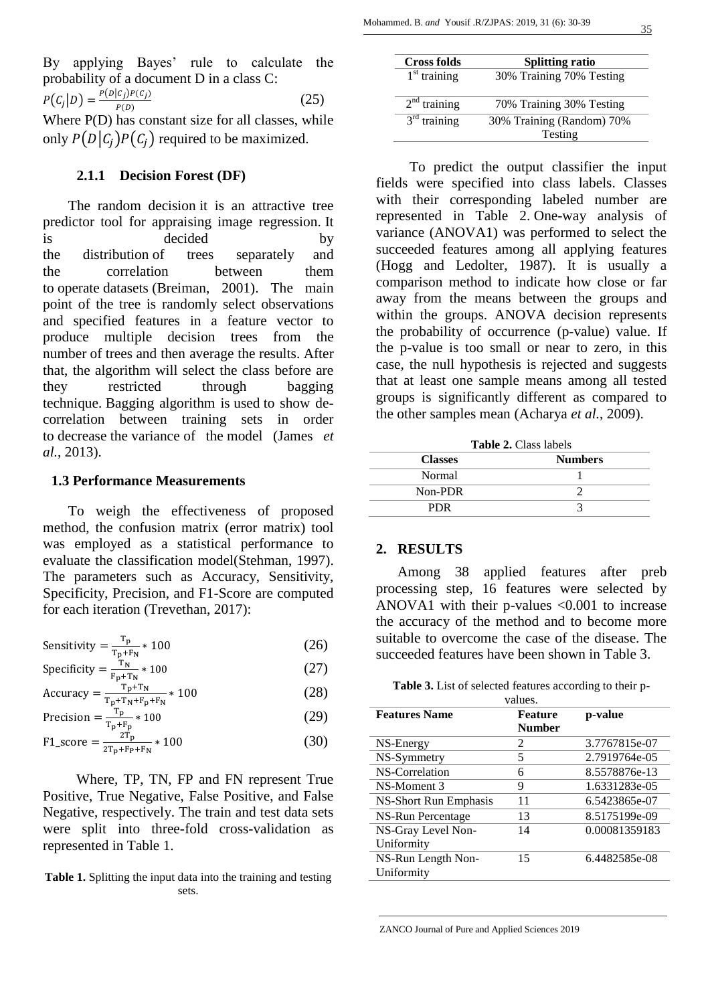By applying Bayes' rule to calculate the probability of a document D in a class C:  $P(C_i|D) = \frac{P(D|C_j)P(C_j)}{P(D)}$  $P(D)$  (25) Where P(D) has constant size for all classes, while only  $P(D | C_i) P(C_i)$  required to be maximized.

#### **2.1.1 Decision Forest (DF)**

The random decision it is an attractive tree predictor tool for appraising image regression. It is decided by the distribution of trees separately and the correlation between them to operate datasets [\(Breiman, 2001\)](#page-9-18). The main point of the tree is randomly select observations and specified features in a feature vector to produce multiple decision trees from the number of trees and then average the results. After that, the algorithm will select the class before are they restricted through bagging technique. Bagging algorithm is used to show decorrelation between training sets in order to decrease the variance of the model [\(James](#page-9-19) *et al.*[, 2013\)](#page-9-19).

#### **1.3 Performance Measurements**

To weigh the effectiveness of proposed method, the confusion matrix (error matrix) tool was employed as a statistical performance to evaluate the classification model[\(Stehman, 1997\)](#page-9-20). The parameters such as Accuracy, Sensitivity, Specificity, Precision, and F1-Score are computed for each iteration [\(Trevethan, 2017\)](#page-9-21):

$$
Sensitivity = \frac{T_p}{T_p + F_N} * 100
$$
 (26)

$$
Specificity = \frac{T_N}{F_p + T_N} * 100
$$
 (27)

$$
Accuracy = \frac{T_{p} + T_{N}}{T_{p} + T_{N} + F_{p} + F_{N}} * 100
$$
\n
$$
T_{n} \tag{28}
$$

$$
\text{Precision} = \frac{\text{T}_{\text{p}}}{\text{T}_{\text{p}} + \text{T}_{\text{p}}} * 100 \tag{29}
$$

$$
F1\_score = \frac{2T_p}{2T_p + F_p + F_N} * 100
$$
 (30)

Where, TP, TN, FP and FN represent True Positive, True Negative, False Positive, and False Negative, respectively. The train and test data sets were split into three-fold cross-validation as represented in Table 1.

**Table 1.** Splitting the input data into the training and testing sets.

| <b>Cross folds</b> | <b>Splitting ratio</b>    |
|--------------------|---------------------------|
| $1st$ training     | 30% Training 70% Testing  |
| $2nd$ training     | 70% Training 30% Testing  |
| $3rd$ training     | 30% Training (Random) 70% |
|                    | Testing                   |

To predict the output classifier the input fields were specified into class labels. Classes with their corresponding labeled number are represented in Table 2. One-way analysis of variance (ANOVA1) was performed to select the succeeded features among all applying features [\(Hogg and Ledolter, 1987\)](#page-9-22). It is usually a comparison method to indicate how close or far away from the means between the groups and within the groups. ANOVA decision represents the probability of occurrence (p-value) value. If the p-value is too small or near to zero, in this case, the null hypothesis is rejected and suggests that at least one sample means among all tested groups is significantly different as compared to the other samples mean [\(Acharya](#page-8-2) *et al.*, 2009).

| <b>Table 2.</b> Class labels     |  |  |  |  |
|----------------------------------|--|--|--|--|
| <b>Numbers</b><br><b>Classes</b> |  |  |  |  |
| Normal                           |  |  |  |  |
| Non-PDR                          |  |  |  |  |
| PDR.                             |  |  |  |  |

#### **2. RESULTS**

Among 38 applied features after preb processing step, 16 features were selected by ANOVA1 with their p-values <0.001 to increase the accuracy of the method and to become more suitable to overcome the case of the disease. The succeeded features have been shown in Table 3.

**Table 3.** List of selected features according to their p-

|                       | values.        |               |
|-----------------------|----------------|---------------|
| <b>Features Name</b>  | <b>Feature</b> | p-value       |
|                       | <b>Number</b>  |               |
| NS-Energy             | 2              | 3.7767815e-07 |
| NS-Symmetry           | 5              | 2.7919764e-05 |
| NS-Correlation        | 6              | 8.5578876e-13 |
| NS-Moment 3           | 9              | 1.6331283e-05 |
| NS-Short Run Emphasis | 11             | 6.5423865e-07 |
| NS-Run Percentage     | 13             | 8.5175199e-09 |
| NS-Gray Level Non-    | 14             | 0.00081359183 |
| Uniformity            |                |               |
| NS-Run Length Non-    | 15             | 6.4482585e-08 |
| Uniformity            |                |               |

ZANCO Journal of Pure and Applied Sciences 2019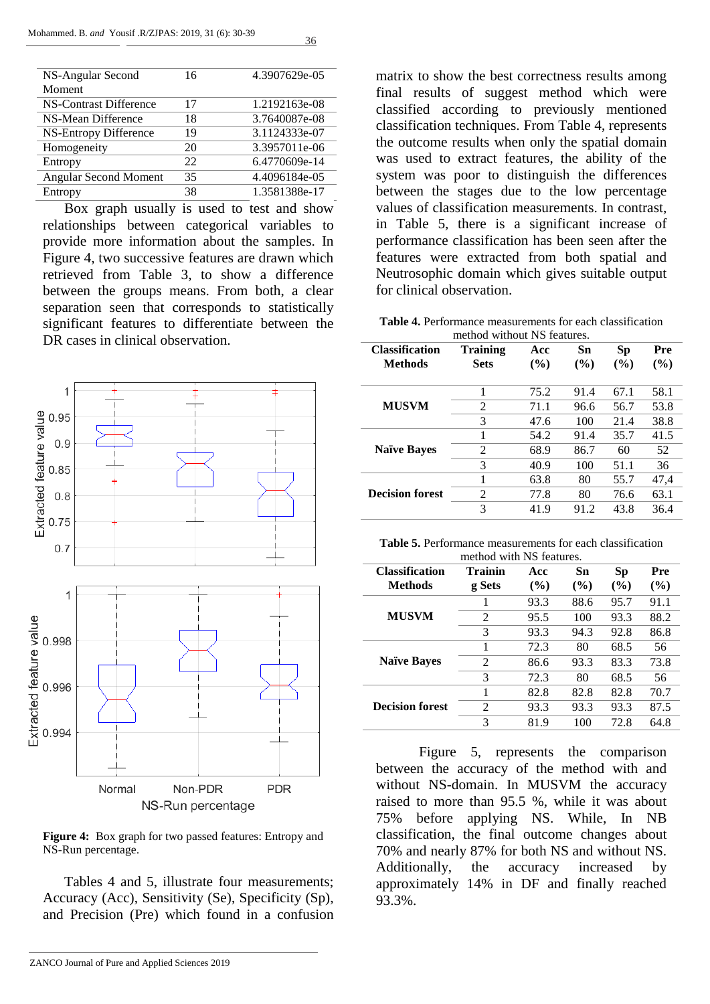| NS-Angular Second      | 16 | 4.3907629e-05 |
|------------------------|----|---------------|
| Moment                 |    |               |
| NS-Contrast Difference | 17 | 1.2192163e-08 |
| NS-Mean Difference     | 18 | 3.7640087e-08 |
| NS-Entropy Difference  | 19 | 3.1124333e-07 |
| Homogeneity            | 20 | 3.3957011e-06 |
| Entropy                | 22 | 6.4770609e-14 |
| Angular Second Moment  | 35 | 4.4096184e-05 |
| Entropy                | 38 | 1.3581388e-17 |

Box graph usually is used to test and show relationships between categorical variables to provide more information about the samples. In Figure 4, two successive features are drawn which retrieved from Table 3, to show a difference between the groups means. From both, a clear separation seen that corresponds to statistically significant features to differentiate between the DR cases in clinical observation.



**Figure 4:** Box graph for two passed features: Entropy and NS-Run percentage.

Tables 4 and 5, illustrate four measurements; Accuracy (Acc), Sensitivity (Se), Specificity (Sp), and Precision (Pre) which found in a confusion matrix to show the best correctness results among final results of suggest method which were classified according to previously mentioned classification techniques. From Table 4, represents the outcome results when only the spatial domain was used to extract features, the ability of the system was poor to distinguish the differences between the stages due to the low percentage values of classification measurements. In contrast, in Table 5, there is a significant increase of performance classification has been seen after the features were extracted from both spatial and Neutrosophic domain which gives suitable output for clinical observation.

**Table 4.** Performance measurements for each classification method without NS features.

| <b>Classification</b><br><b>Methods</b> | Training<br><b>Sets</b> | Acc<br>(%) | Sn<br>$($ %) | Sp<br>$($ %) | Pre<br>$(\%)$ |
|-----------------------------------------|-------------------------|------------|--------------|--------------|---------------|
|                                         | 1                       | 75.2       | 91.4         | 67.1         | 58.1          |
| <b>MUSVM</b>                            | 2                       | 71.1       | 96.6         | 56.7         | 53.8          |
|                                         | 3                       | 47.6       | 100          | 21.4         | 38.8          |
|                                         | 1                       | 54.2       | 91.4         | 35.7         | 41.5          |
| <b>Naïve Bayes</b>                      | 2                       | 68.9       | 86.7         | 60           | 52            |
|                                         | 3                       | 40.9       | 100          | 51.1         | 36            |
|                                         | 1                       | 63.8       | 80           | 55.7         | 47,4          |
| <b>Decision forest</b>                  | $\overline{2}$          | 77.8       | 80           | 76.6         | 63.1          |
|                                         | 3                       | 41.9       | 91.2         | 43.8         | 36.4          |

**Table 5.** Performance measurements for each classification method with NS features.

| <b>Classification</b>  | Trainin | Acc    | Sn   | Sp   | Pre    |
|------------------------|---------|--------|------|------|--------|
| Methods                | g Sets  | $(\%)$ | (%)  | (%)  | $(\%)$ |
|                        |         | 93.3   | 88.6 | 95.7 | 91.1   |
| <b>MUSVM</b>           | 2       | 95.5   | 100  | 93.3 | 88.2   |
|                        | 3       | 93.3   | 94.3 | 92.8 | 86.8   |
|                        |         | 72.3   | 80   | 68.5 | 56     |
| <b>Naïve Bayes</b>     | 2       | 86.6   | 93.3 | 83.3 | 73.8   |
|                        | 3       | 72.3   | 80   | 68.5 | 56     |
|                        | 1       | 82.8   | 82.8 | 82.8 | 70.7   |
| <b>Decision forest</b> | 2       | 93.3   | 93.3 | 93.3 | 87.5   |
|                        | 3       | 81.9   | 100  | 72.8 | 64.8   |

Figure 5, represents the comparison between the accuracy of the method with and without NS-domain. In MUSVM the accuracy raised to more than 95.5 %, while it was about 75% before applying NS. While, In NB classification, the final outcome changes about 70% and nearly 87% for both NS and without NS. Additionally, the accuracy increased by approximately 14% in DF and finally reached 93.3%.

ZANCO Journal of Pure and Applied Sciences 2019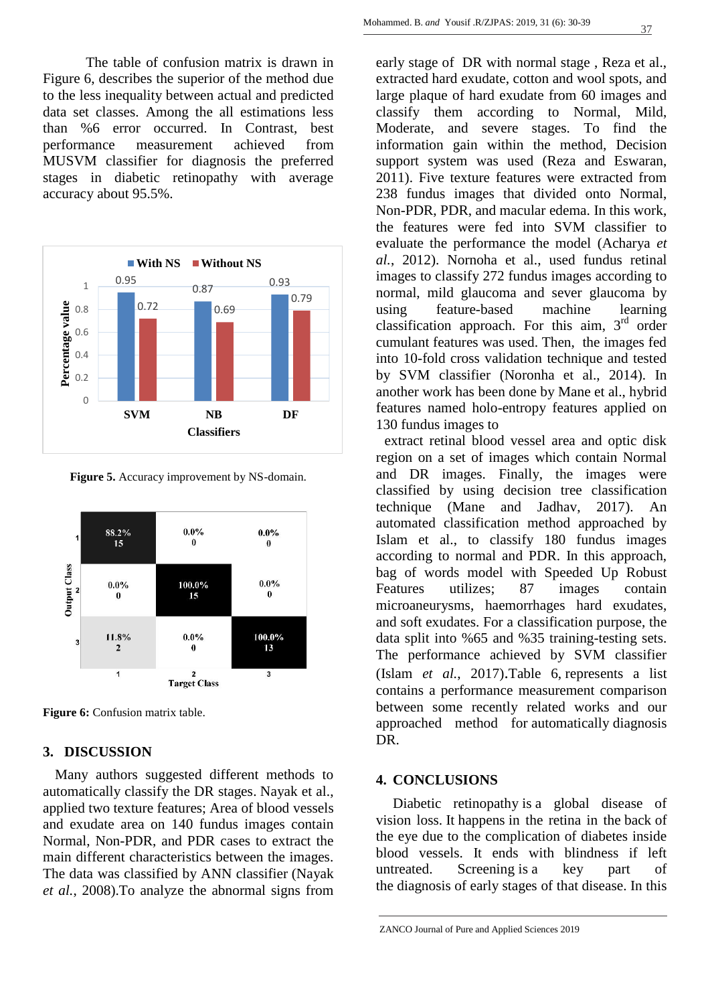The table of confusion matrix is drawn in Figure 6, describes the superior of the method due to the less inequality between actual and predicted data set classes. Among the all estimations less than %6 error occurred. In Contrast, best performance measurement achieved from MUSVM classifier for diagnosis the preferred stages in diabetic retinopathy with average accuracy about 95.5%.



**Figure 5.** Accuracy improvement by NS-domain.



**Figure 6:** Confusion matrix table.

## **3. DISCUSSION**

Many authors suggested different methods to automatically classify the DR stages. Nayak et al., applied two texture features; Area of blood vessels and exudate area on 140 fundus images contain Normal, Non-PDR, and PDR cases to extract the main different characteristics between the images. The data was classified by ANN classifier [\(Nayak](#page-9-23) *et al.*[, 2008\)](#page-9-23).To analyze the abnormal signs from

early stage of DR with normal stage , Reza et al., extracted hard exudate, cotton and wool spots, and large plaque of hard exudate from 60 images and classify them according to Normal, Mild, Moderate, and severe stages. To find the information gain within the method, Decision support system was used [\(Reza and Eswaran,](#page-9-24)  [2011\)](#page-9-24). Five texture features were extracted from 238 fundus images that divided onto Normal, Non-PDR, PDR, and macular edema. In this work, the features were fed into SVM classifier to evaluate the performance the model [\(Acharya](#page-8-3) *et al.*[, 2012\)](#page-8-3). Nornoha et al., used fundus retinal images to classify 272 fundus images according to normal, mild glaucoma and sever glaucoma by using feature-based machine learning classification approach. For this aim,  $3<sup>rd</sup>$  order cumulant features was used. Then, the images fed into 10-fold cross validation technique and tested by SVM classifier [\(Noronha et al., 2014\)](#page-9-17). In another work has been done by Mane et al., hybrid features named holo-entropy features applied on 130 fundus images to

extract retinal blood vessel area and optic disk region on a set of images which contain Normal and DR images. Finally, the images were classified by using decision tree classification technique [\(Mane and Jadhav, 2017\)](#page-9-25). An automated classification method approached by Islam et al., to classify 180 fundus images according to normal and PDR. In this approach, bag of words model with Speeded Up Robust Features utilizes; 87 images contain microaneurysms, haemorrhages hard exudates, and soft exudates. For a classification purpose, the data split into %65 and %35 training-testing sets. The performance achieved by SVM classifier (Islam *et al.*[, 2017\)](#page-9-26).Table 6, represents a list contains a performance measurement comparison between some recently related works and our approached method for automatically diagnosis DR.

#### **4. CONCLUSIONS**

Diabetic retinopathy is a global disease of vision loss. It happens in the retina in the back of the eye due to the complication of diabetes inside blood vessels. It ends with blindness if left untreated. Screening is a key part of the diagnosis of early stages of that disease. In this

ZANCO Journal of Pure and Applied Sciences 2019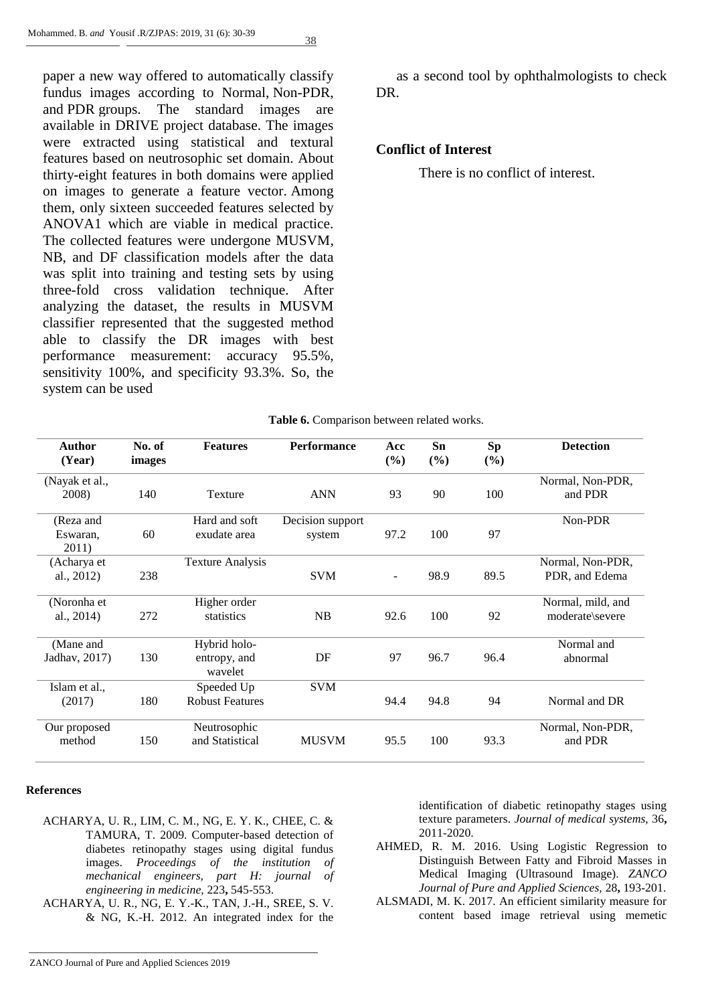paper a new way offered to automatically classify fundus images according to Normal, Non-PDR, and PDR groups. The standard images are available in DRIVE project database. The images were extracted using statistical and textural features based on neutrosophic set domain. About thirty-eight features in both domains were applied on images to generate a feature vector. Among them, only sixteen succeeded features selected by ANOVA1 which are viable in medical practice. The collected features were undergone MUSVM, NB, and DF classification models after the data was split into training and testing sets by using three-fold cross validation technique. After analyzing the dataset, the results in MUSVM classifier represented that the suggested method able to classify the DR images with best performance measurement: accuracy 95.5%, sensitivity 100%, and specificity 93.3%. So, the system can be used

as a second tool by ophthalmologists to check DR.

#### **Conflict of Interest**

There is no conflict of interest.

| Table 6. Comparison between related works. |
|--------------------------------------------|
|--------------------------------------------|

| Author<br>(Year) | No. of<br>images | <b>Features</b>         | <b>Performance</b> | Acc<br>(%)               | <b>Sn</b><br>(%) | <b>Sp</b><br>$(\%)$ | <b>Detection</b>  |
|------------------|------------------|-------------------------|--------------------|--------------------------|------------------|---------------------|-------------------|
| (Nayak et al.,   |                  |                         |                    |                          |                  |                     | Normal, Non-PDR,  |
| 2008)            | 140              | Texture                 | <b>ANN</b>         | 93                       | 90               | 100                 | and PDR           |
| (Reza and        |                  | Hard and soft           | Decision support   |                          |                  |                     | Non-PDR           |
| Eswaran.         | 60               | exudate area            | system             | 97.2                     | 100              | 97                  |                   |
| 2011)            |                  |                         |                    |                          |                  |                     |                   |
| (Acharya et      |                  | <b>Texture Analysis</b> |                    |                          |                  |                     | Normal, Non-PDR,  |
| al., 2012)       | 238              |                         | <b>SVM</b>         | $\overline{\phantom{a}}$ | 98.9             | 89.5                | PDR, and Edema    |
| (Noronha et      |                  | Higher order            |                    |                          |                  |                     | Normal, mild, and |
| al., 2014)       | 272              | statistics              | NB                 | 92.6                     | 100              | 92                  | moderate\severe   |
| (Mane and        |                  | Hybrid holo-            |                    |                          |                  |                     | Normal and        |
| Jadhav, 2017)    | 130              | entropy, and            | DF                 | 97                       | 96.7             | 96.4                | abnormal          |
|                  |                  | wavelet                 |                    |                          |                  |                     |                   |
| Islam et al.,    |                  | Speeded Up              | <b>SVM</b>         |                          |                  |                     |                   |
| (2017)           | 180              | <b>Robust Features</b>  |                    | 94.4                     | 94.8             | 94                  | Normal and DR     |
| Our proposed     |                  | Neutrosophic            |                    |                          |                  |                     | Normal, Non-PDR,  |
| method           | 150              | and Statistical         | <b>MUSVM</b>       | 95.5                     | 100              | 93.3                | and PDR           |

#### **References**

- <span id="page-8-2"></span>ACHARYA, U. R., LIM, C. M., NG, E. Y. K., CHEE, C. & TAMURA, T. 2009. Computer-based detection of diabetes retinopathy stages using digital fundus images. *Proceedings of the institution of mechanical engineers, part H: journal of engineering in medicine,* 223**,** 545-553.
- <span id="page-8-3"></span>ACHARYA, U. R., NG, E. Y.-K., TAN, J.-H., SREE, S. V. & NG, K.-H. 2012. An integrated index for the

identification of diabetic retinopathy stages using texture parameters. *Journal of medical systems,* 36**,** 2011-2020.

- <span id="page-8-0"></span>AHMED, R. M. 2016. Using Logistic Regression to Distinguish Between Fatty and Fibroid Masses in Medical Imaging (Ultrasound Image). *ZANCO Journal of Pure and Applied Sciences,* 28**,** 193-201.
- <span id="page-8-1"></span>ALSMADI, M. K. 2017. An efficient similarity measure for content based image retrieval using memetic